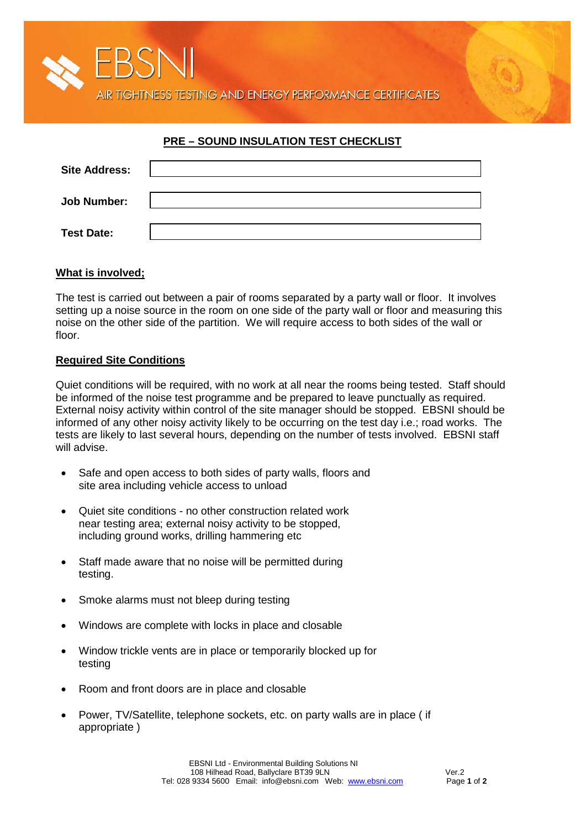AIR TIGHTNESS TESTING AND ENERGY PERFORMANCE CERTIFICATES

## **PRE – SOUND INSULATION TEST CHECKLIST**

| <b>Site Address:</b> |  |
|----------------------|--|
|                      |  |
| <b>Job Number:</b>   |  |
|                      |  |
| <b>Test Date:</b>    |  |

## **What is involved;**

The test is carried out between a pair of rooms separated by a party wall or floor. It involves setting up a noise source in the room on one side of the party wall or floor and measuring this noise on the other side of the partition. We will require access to both sides of the wall or floor

## **Required Site Conditions**

Quiet conditions will be required, with no work at all near the rooms being tested. Staff should be informed of the noise test programme and be prepared to leave punctually as required. External noisy activity within control of the site manager should be stopped. EBSNI should be informed of any other noisy activity likely to be occurring on the test day i.e.; road works. The tests are likely to last several hours, depending on the number of tests involved. EBSNI staff will advise.

- Safe and open access to both sides of party walls, floors and site area including vehicle access to unload
- Quiet site conditions no other construction related work near testing area; external noisy activity to be stopped, including ground works, drilling hammering etc
- Staff made aware that no noise will be permitted during testing.
- Smoke alarms must not bleep during testing
- Windows are complete with locks in place and closable
- Window trickle vents are in place or temporarily blocked up for testing
- Room and front doors are in place and closable
- Power, TV/Satellite, telephone sockets, etc. on party walls are in place ( if appropriate )